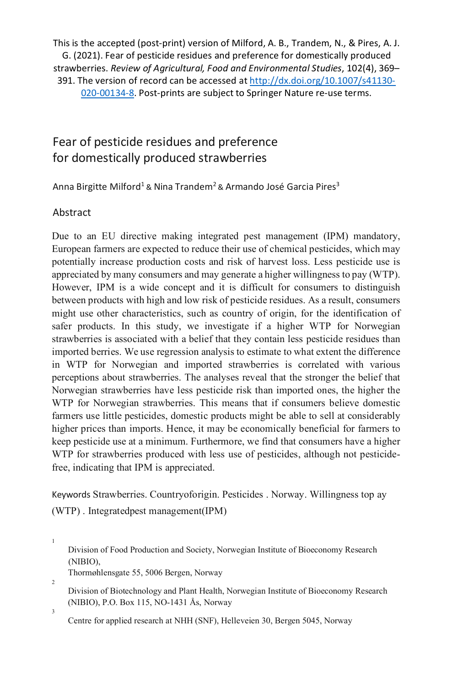This is the accepted (post-print) version of Milford, A. B., Trandem, N., & Pires, A. J. G. (2021). Fear of pesticide residues and preference for domestically produced strawberries. *Review of Agricultural, Food and Environmental Studies*, 102(4), 369– 391. The version of record can be accessed at [http://dx.doi.org/10.1007/s41130-](http://dx.doi.org/10.1007/s41130-020-00134-8) [020-00134-8.](http://dx.doi.org/10.1007/s41130-020-00134-8) Post-prints are subject to Springer Nature re-use terms.

# Fear of pesticide residues and preference for domestically produced strawberries

Anna Birgitte Milford<sup>1</sup> & Nina Trandem<sup>2</sup> & Armando José Garcia Pires<sup>3</sup>

## Abstract

Due to an EU directive making integrated pest management (IPM) mandatory, European farmers are expected to reduce their use of chemical pesticides, which may potentially increase production costs and risk of harvest loss. Less pesticide use is appreciated by many consumers and may generate a higher willingness to pay (WTP). However, IPM is a wide concept and it is difficult for consumers to distinguish between products with high and low risk of pesticide residues. As a result, consumers might use other characteristics, such as country of origin, for the identification of safer products. In this study, we investigate if a higher WTP for Norwegian strawberries is associated with a belief that they contain less pesticide residues than imported berries. We use regression analysis to estimate to what extent the difference in WTP for Norwegian and imported strawberries is correlated with various perceptions about strawberries. The analyses reveal that the stronger the belief that Norwegian strawberries have less pesticide risk than imported ones, the higher the WTP for Norwegian strawberries. This means that if consumers believe domestic farmers use little pesticides, domestic products might be able to sell at considerably higher prices than imports. Hence, it may be economically beneficial for farmers to keep pesticide use at a minimum. Furthermore, we find that consumers have a higher WTP for strawberries produced with less use of pesticides, although not pesticidefree, indicating that IPM is appreciated.

Keywords Strawberries. Countryoforigin. Pesticides . Norway. Willingness top ay (WTP) . Integratedpest management(IPM)

Division of Food Production and Society, Norwegian Institute of Bioeconomy Research (NIBIO),

Thormøhlensgate 55, 5006 Bergen, Norway

Division of Biotechnology and Plant Health, Norwegian Institute of Bioeconomy Research (NIBIO), P.O. Box 115, NO-1431 Ås, Norway

3

2

1

Centre for applied research at NHH (SNF), Helleveien 30, Bergen 5045, Norway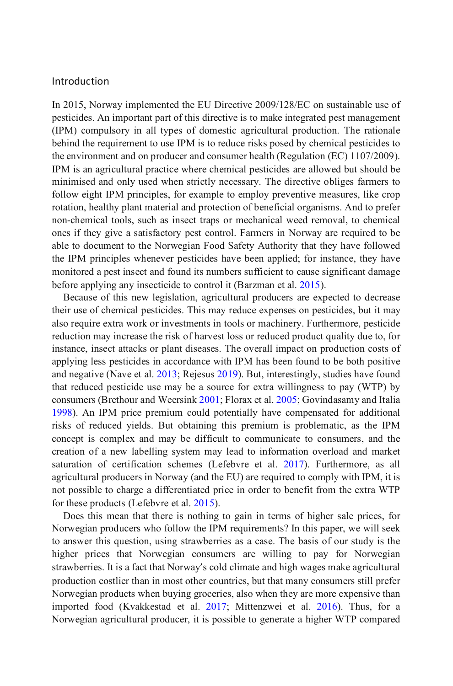#### Introduction

In 2015, Norway implemented the EU Directive 2009/128/EC on sustainable use of pesticides. An important part of this directive is to make integrated pest management (IPM) compulsory in all types of domestic agricultural production. The rationale behind the requirement to use IPM is to reduce risks posed by chemical pesticides to the environment and on producer and consumer health (Regulation (EC) 1107/2009). IPM is an agricultural practice where chemical pesticides are allowed but should be minimised and only used when strictly necessary. The directive obliges farmers to follow eight IPM principles, for example to employ preventive measures, like crop rotation, healthy plant material and protection of beneficial organisms. And to prefer non-chemical tools, such as insect traps or mechanical weed removal, to chemical ones if they give a satisfactory pest control. Farmers in Norway are required to be able to document to the Norwegian Food Safety Authority that they have followed the IPM principles whenever pesticides have been applied; for instance, they have monitored a pest insect and found its numbers sufficient to cause significant damage before applying any insecticide to control it (Barzman et al. 2015).

Because of this new legislation, agricultural producers are expected to decrease their use of chemical pesticides. This may reduce expenses on pesticides, but it may also require extra work or investments in tools or machinery. Furthermore, pesticide reduction may increase the risk of harvest loss or reduced product quality due to, for instance, insect attacks or plant diseases. The overall impact on production costs of applying less pesticides in accordance with IPM has been found to be both positive and negative (Nave et al. 2013; Rejesus 2019). But, interestingly, studies have found that reduced pesticide use may be a source for extra willingness to pay (WTP) by consumers (Brethour and Weersink 2001; Florax et al. 2005; Govindasamy and Italia 1998). An IPM price premium could potentially have compensated for additional risks of reduced yields. But obtaining this premium is problematic, as the IPM concept is complex and may be difficult to communicate to consumers, and the creation of a new labelling system may lead to information overload and market saturation of certification schemes (Lefebvre et al. 2017). Furthermore, as all agricultural producers in Norway (and the EU) are required to comply with IPM, it is not possible to charge a differentiated price in order to benefit from the extra WTP for these products (Lefebvre et al. 2015).

Does this mean that there is nothing to gain in terms of higher sale prices, for Norwegian producers who follow the IPM requirements? In this paper, we will seek to answer this question, using strawberries as a case. The basis of our study is the higher prices that Norwegian consumers are willing to pay for Norwegian strawberries. It is a fact that Norway's cold climate and high wages make agricultural production costlier than in most other countries, but that many consumers still prefer Norwegian products when buying groceries, also when they are more expensive than imported food (Kvakkestad et al. 2017; Mittenzwei et al. 2016). Thus, for a Norwegian agricultural producer, it is possible to generate a higher WTP compared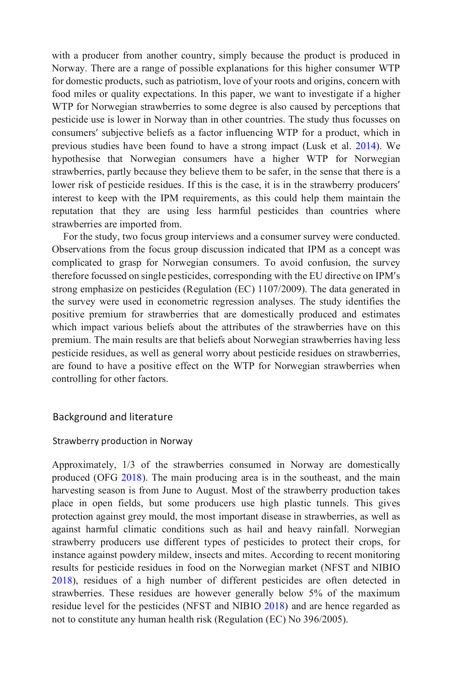with a producer from another country, simply because the product is produced in Norway. There are a range of possible explanations for this higher consumer WTP for domestic products, such as patriotism, love of your roots and origins, concern with food miles or quality expectations. In this paper, we want to investigate if a higher WTP for Norwegian strawberries to some degree is also caused by perceptions that pesticide use is lower in Norway than in other countries. The study thus focusses on consumers' subjective beliefs as a factor influencing WTP for a product, which in previous studies have been found to have a strong impact (Lusk et al. 2014). We hypothesise that Norwegian consumers have a higher WTP for Norwegian strawberries, partly because they believe them to be safer, in the sense that there is a lower risk of pesticide residues. If this is the case, it is in the strawberry producers' interest to keep with the IPM requirements, as this could help them maintain the reputation that they are using less harmful pesticides than countries where strawberries are imported from.

For the study, two focus group interviews and a consumer survey were conducted. Observations from the focus group discussion indicated that IPM as a concept was complicated to grasp for Norwegian consumers. To avoid confusion, the survey therefore focussed on single pesticides, corresponding with the EU directive on IPM's strong emphasize on pesticides (Regulation (EC) 1107/2009). The data generated in the survey were used in econometric regression analyses. The study identifies the positive premium for strawberries that are domestically produced and estimates which impact various beliefs about the attributes of the strawberries have on this premium. The main results are that beliefs about Norwegian strawberries having less pesticide residues, as well as general worry about pesticide residues on strawberries, are found to have a positive effect on the WTP for Norwegian strawberries when controlling for other factors.

## Background and literature

#### Strawberry production in Norway

Approximately, 1/3 of the strawberries consumed in Norway are domestically produced (OFG 2018). The main producing area is in the southeast, and the main harvesting season is from June to August. Most of the strawberry production takes place in open fields, but some producers use high plastic tunnels. This gives protection against grey mould, the most important disease in strawberries, as well as against harmful climatic conditions such as hail and heavy rainfall. Norwegian strawberry producers use different types of pesticides to protect their crops, for instance against powdery mildew, insects and mites. According to recent monitoring results for pesticide residues in food on the Norwegian market (NFST and NIBIO 2018), residues of a high number of different pesticides are often detected in strawberries. These residues are however generally below 5% of the maximum residue level for the pesticides (NFST and NIBIO 2018) and are hence regarded as not to constitute any human health risk (Regulation (EC) No 396/2005).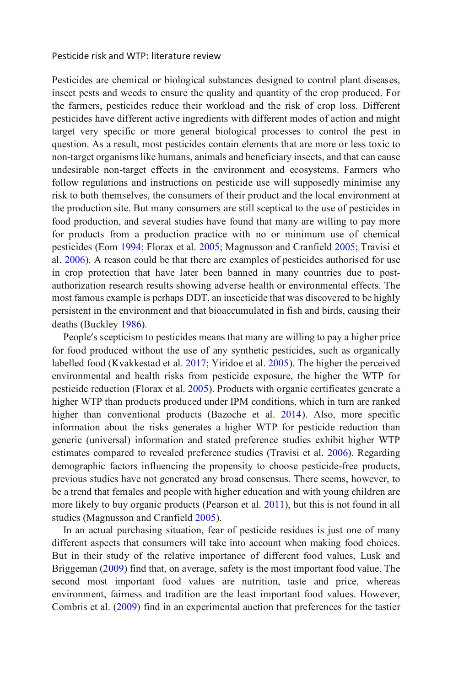#### Pesticide risk and WTP: literature review

Pesticides are chemical or biological substances designed to control plant diseases, insect pests and weeds to ensure the quality and quantity of the crop produced. For the farmers, pesticides reduce their workload and the risk of crop loss. Different pesticides have different active ingredients with different modes of action and might target very specific or more general biological processes to control the pest in question. As a result, most pesticides contain elements that are more or less toxic to non-target organisms like humans, animals and beneficiary insects, and that can cause undesirable non-target effects in the environment and ecosystems. Farmers who follow regulations and instructions on pesticide use will supposedly minimise any risk to both themselves, the consumers of their product and the local environment at the production site. But many consumers are still sceptical to the use of pesticides in food production, and several studies have found that many are willing to pay more for products from a production practice with no or minimum use of chemical pesticides (Eom 1994; Florax et al. 2005; Magnusson and Cranfield 2005; Travisi et al. 2006). A reason could be that there are examples of pesticides authorised for use in crop protection that have later been banned in many countries due to postauthorization research results showing adverse health or environmental effects. The most famous example is perhaps DDT, an insecticide that was discovered to be highly persistent in the environment and that bioaccumulated in fish and birds, causing their deaths (Buckley 1986).

People's scepticism to pesticides means that many are willing to pay a higher price for food produced without the use of any synthetic pesticides, such as organically labelled food (Kvakkestad et al. 2017; Yiridoe et al. 2005). The higher the perceived environmental and health risks from pesticide exposure, the higher the WTP for pesticide reduction (Florax et al. 2005). Products with organic certificates generate a higher WTP than products produced under IPM conditions, which in turn are ranked higher than conventional products (Bazoche et al. 2014). Also, more specific information about the risks generates a higher WTP for pesticide reduction than generic (universal) information and stated preference studies exhibit higher WTP estimates compared to revealed preference studies (Travisi et al. 2006). Regarding demographic factors influencing the propensity to choose pesticide-free products, previous studies have not generated any broad consensus. There seems, however, to be a trend that females and people with higher education and with young children are more likely to buy organic products (Pearson et al. 2011), but this is not found in all studies (Magnusson and Cranfield 2005).

In an actual purchasing situation, fear of pesticide residues is just one of many different aspects that consumers will take into account when making food choices. But in their study of the relative importance of different food values, Lusk and Briggeman (2009) find that, on average, safety is the most important food value. The second most important food values are nutrition, taste and price, whereas environment, fairness and tradition are the least important food values. However, Combris et al. (2009) find in an experimental auction that preferences for the tastier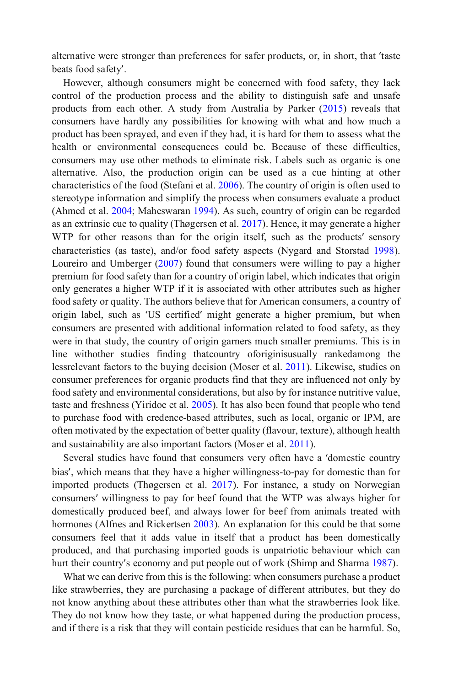alternative were stronger than preferences for safer products, or, in short, that 'taste beats food safety'.

However, although consumers might be concerned with food safety, they lack control of the production process and the ability to distinguish safe and unsafe products from each other. A study from Australia by Parker (2015) reveals that consumers have hardly any possibilities for knowing with what and how much a product has been sprayed, and even if they had, it is hard for them to assess what the health or environmental consequences could be. Because of these difficulties, consumers may use other methods to eliminate risk. Labels such as organic is one alternative. Also, the production origin can be used as a cue hinting at other characteristics of the food (Stefani et al. 2006). The country of origin is often used to stereotype information and simplify the process when consumers evaluate a product (Ahmed et al. 2004; Maheswaran 1994). As such, country of origin can be regarded as an extrinsic cue to quality (Thøgersen et al. 2017). Hence, it may generate a higher WTP for other reasons than for the origin itself, such as the products' sensory characteristics (as taste), and/or food safety aspects (Nygard and Storstad 1998). Loureiro and Umberger (2007) found that consumers were willing to pay a higher premium for food safety than for a country of origin label, which indicates that origin only generates a higher WTP if it is associated with other attributes such as higher food safety or quality. The authors believe that for American consumers, a country of origin label, such as 'US certified' might generate a higher premium, but when consumers are presented with additional information related to food safety, as they were in that study, the country of origin garners much smaller premiums. This is in line withother studies finding thatcountry oforiginisusually rankedamong the lessrelevant factors to the buying decision (Moser et al. 2011). Likewise, studies on consumer preferences for organic products find that they are influenced not only by food safety and environmental considerations, but also by for instance nutritive value, taste and freshness (Yiridoe et al. 2005). It has also been found that people who tend to purchase food with credence-based attributes, such as local, organic or IPM, are often motivated by the expectation of better quality (flavour, texture), although health and sustainability are also important factors (Moser et al. 2011).

Several studies have found that consumers very often have a 'domestic country bias', which means that they have a higher willingness-to-pay for domestic than for imported products (Thøgersen et al. 2017). For instance, a study on Norwegian consumers' willingness to pay for beef found that the WTP was always higher for domestically produced beef, and always lower for beef from animals treated with hormones (Alfnes and Rickertsen 2003). An explanation for this could be that some consumers feel that it adds value in itself that a product has been domestically produced, and that purchasing imported goods is unpatriotic behaviour which can hurt their country's economy and put people out of work (Shimp and Sharma 1987).

What we can derive from this is the following: when consumers purchase a product like strawberries, they are purchasing a package of different attributes, but they do not know anything about these attributes other than what the strawberries look like. They do not know how they taste, or what happened during the production process, and if there is a risk that they will contain pesticide residues that can be harmful. So,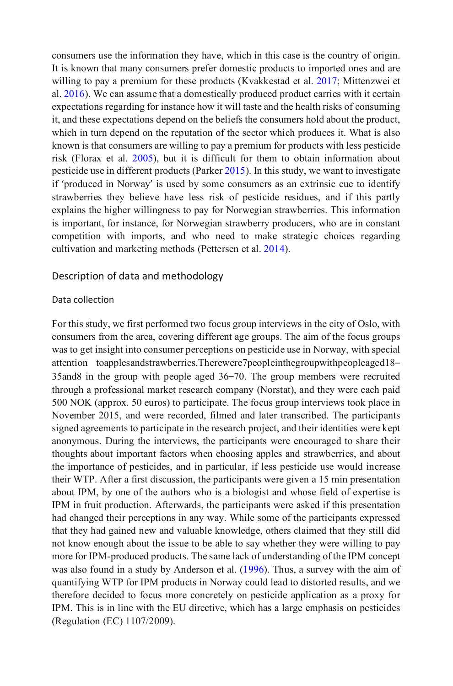consumers use the information they have, which in this case is the country of origin. It is known that many consumers prefer domestic products to imported ones and are willing to pay a premium for these products (Kvakkestad et al. 2017; Mittenzwei et al. 2016). We can assume that a domestically produced product carries with it certain expectations regarding for instance how it will taste and the health risks of consuming it, and these expectations depend on the beliefs the consumers hold about the product, which in turn depend on the reputation of the sector which produces it. What is also known is that consumers are willing to pay a premium for products with less pesticide risk (Florax et al. 2005), but it is difficult for them to obtain information about pesticide use in different products (Parker 2015). In this study, we want to investigate if 'produced in Norway' is used by some consumers as an extrinsic cue to identify strawberries they believe have less risk of pesticide residues, and if this partly explains the higher willingness to pay for Norwegian strawberries. This information is important, for instance, for Norwegian strawberry producers, who are in constant competition with imports, and who need to make strategic choices regarding cultivation and marketing methods (Pettersen et al. 2014).

## Description of data and methodology

#### Data collection

For this study, we first performed two focus group interviews in the city of Oslo, with consumers from the area, covering different age groups. The aim of the focus groups was to get insight into consumer perceptions on pesticide use in Norway, with special attention toapplesandstrawberries.Therewere7peopleinthegroupwithpeopleaged18– 35and8 in the group with people aged 36–70. The group members were recruited through a professional market research company (Norstat), and they were each paid 500 NOK (approx. 50 euros) to participate. The focus group interviews took place in November 2015, and were recorded, filmed and later transcribed. The participants signed agreements to participate in the research project, and their identities were kept anonymous. During the interviews, the participants were encouraged to share their thoughts about important factors when choosing apples and strawberries, and about the importance of pesticides, and in particular, if less pesticide use would increase their WTP. After a first discussion, the participants were given a 15 min presentation about IPM, by one of the authors who is a biologist and whose field of expertise is IPM in fruit production. Afterwards, the participants were asked if this presentation had changed their perceptions in any way. While some of the participants expressed that they had gained new and valuable knowledge, others claimed that they still did not know enough about the issue to be able to say whether they were willing to pay more for IPM-produced products. The same lack of understanding of the IPM concept was also found in a study by Anderson et al. (1996). Thus, a survey with the aim of quantifying WTP for IPM products in Norway could lead to distorted results, and we therefore decided to focus more concretely on pesticide application as a proxy for IPM. This is in line with the EU directive, which has a large emphasis on pesticides (Regulation (EC) 1107/2009).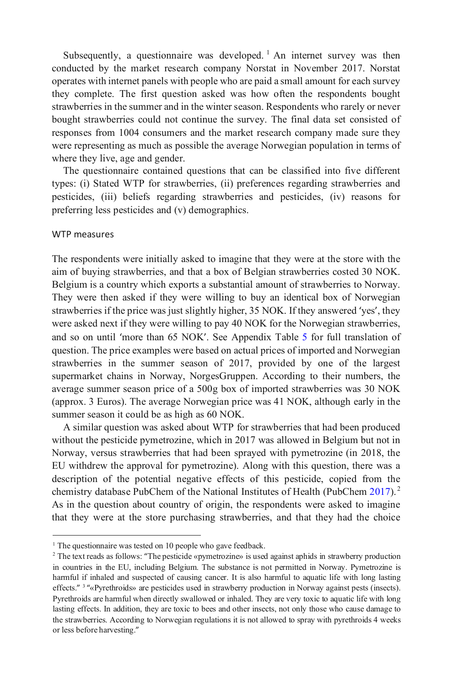Subsequently, a questionnaire was developed.<sup>[1](#page-6-0)</sup> An internet survey was then conducted by the market research company Norstat in November 2017. Norstat operates with internet panels with people who are paid a small amount for each survey they complete. The first question asked was how often the respondents bought strawberries in the summer and in the winter season. Respondents who rarely or never bought strawberries could not continue the survey. The final data set consisted of responses from 1004 consumers and the market research company made sure they were representing as much as possible the average Norwegian population in terms of where they live, age and gender.

The questionnaire contained questions that can be classified into five different types: (i) Stated WTP for strawberries, (ii) preferences regarding strawberries and pesticides, (iii) beliefs regarding strawberries and pesticides, (iv) reasons for preferring less pesticides and (v) demographics.

### WTP measures

The respondents were initially asked to imagine that they were at the store with the aim of buying strawberries, and that a box of Belgian strawberries costed 30 NOK. Belgium is a country which exports a substantial amount of strawberries to Norway. They were then asked if they were willing to buy an identical box of Norwegian strawberries if the price was just slightly higher, 35 NOK. If they answered 'yes', they were asked next if they were willing to pay 40 NOK for the Norwegian strawberries, and so on until 'more than 65 NOK'. See Appendix Table 5 for full translation of question. The price examples were based on actual prices of imported and Norwegian strawberries in the summer season of 2017, provided by one of the largest supermarket chains in Norway, NorgesGruppen. According to their numbers, the average summer season price of a 500g box of imported strawberries was 30 NOK (approx. 3 Euros). The average Norwegian price was 41 NOK, although early in the summer season it could be as high as 60 NOK.

A similar question was asked about WTP for strawberries that had been produced without the pesticide pymetrozine, which in 2017 was allowed in Belgium but not in Norway, versus strawberries that had been sprayed with pymetrozine (in 2018, the EU withdrew the approval for pymetrozine). Along with this question, there was a description of the potential negative effects of this pesticide, copied from the chemistry database PubChem of the National Institutes of Health (PubChem 2017). [2](#page-6-1) As in the question about country of origin, the respondents were asked to imagine that they were at the store purchasing strawberries, and that they had the choice

<span id="page-6-0"></span><sup>&</sup>lt;sup>1</sup> The questionnaire was tested on 10 people who gave feedback.

<span id="page-6-1"></span><sup>&</sup>lt;sup>2</sup> The text reads as follows: "The pesticide «pymetrozine» is used against aphids in strawberry production in countries in the EU, including Belgium. The substance is not permitted in Norway. Pymetrozine is harmful if inhaled and suspected of causing cancer. It is also harmful to aquatic life with long lasting effects." <sup>3</sup> " «Pyrethroids» are pesticides used in strawberry production in Norway against pests (insects). Pyrethroids are harmful when directly swallowed or inhaled. They are very toxic to aquatic life with long lasting effects. In addition, they are toxic to bees and other insects, not only those who cause damage to the strawberries. According to Norwegian regulations it is not allowed to spray with pyrethroids 4 weeks or less before harvesting."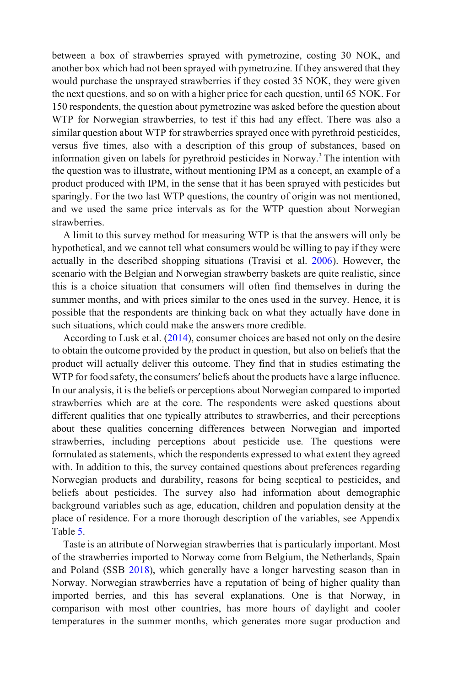between a box of strawberries sprayed with pymetrozine, costing 30 NOK, and another box which had not been sprayed with pymetrozine. If they answered that they would purchase the unsprayed strawberries if they costed 35 NOK, they were given the next questions, and so on with a higher price for each question, until 65 NOK. For 150 respondents, the question about pymetrozine was asked before the question about WTP for Norwegian strawberries, to test if this had any effect. There was also a similar question about WTP for strawberries sprayed once with pyrethroid pesticides, versus five times, also with a description of this group of substances, based on information given on labels for pyrethroid pesticides in Norway.3 The intention with the question was to illustrate, without mentioning IPM as a concept, an example of a product produced with IPM, in the sense that it has been sprayed with pesticides but sparingly. For the two last WTP questions, the country of origin was not mentioned, and we used the same price intervals as for the WTP question about Norwegian strawberries.

A limit to this survey method for measuring WTP is that the answers will only be hypothetical, and we cannot tell what consumers would be willing to pay if they were actually in the described shopping situations (Travisi et al. 2006). However, the scenario with the Belgian and Norwegian strawberry baskets are quite realistic, since this is a choice situation that consumers will often find themselves in during the summer months, and with prices similar to the ones used in the survey. Hence, it is possible that the respondents are thinking back on what they actually have done in such situations, which could make the answers more credible.

According to Lusk et al.  $(2014)$ , consumer choices are based not only on the desire to obtain the outcome provided by the product in question, but also on beliefs that the product will actually deliver this outcome. They find that in studies estimating the WTP for food safety, the consumers' beliefs about the products have a large influence. In our analysis, it is the beliefs or perceptions about Norwegian compared to imported strawberries which are at the core. The respondents were asked questions about different qualities that one typically attributes to strawberries, and their perceptions about these qualities concerning differences between Norwegian and imported strawberries, including perceptions about pesticide use. The questions were formulated as statements, which the respondents expressed to what extent they agreed with. In addition to this, the survey contained questions about preferences regarding Norwegian products and durability, reasons for being sceptical to pesticides, and beliefs about pesticides. The survey also had information about demographic background variables such as age, education, children and population density at the place of residence. For a more thorough description of the variables, see Appendix Table 5.

Taste is an attribute of Norwegian strawberries that is particularly important. Most of the strawberries imported to Norway come from Belgium, the Netherlands, Spain and Poland (SSB 2018), which generally have a longer harvesting season than in Norway. Norwegian strawberries have a reputation of being of higher quality than imported berries, and this has several explanations. One is that Norway, in comparison with most other countries, has more hours of daylight and cooler temperatures in the summer months, which generates more sugar production and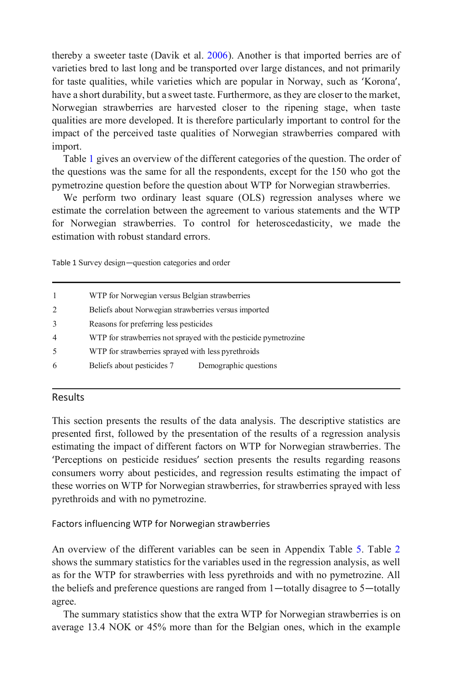thereby a sweeter taste (Davik et al. 2006). Another is that imported berries are of varieties bred to last long and be transported over large distances, and not primarily for taste qualities, while varieties which are popular in Norway, such as 'Korona', have a short durability, but a sweet taste. Furthermore, as they are closer to the market, Norwegian strawberries are harvested closer to the ripening stage, when taste qualities are more developed. It is therefore particularly important to control for the impact of the perceived taste qualities of Norwegian strawberries compared with import.

Table 1 gives an overview of the different categories of the question. The order of the questions was the same for all the respondents, except for the 150 who got the pymetrozine question before the question about WTP for Norwegian strawberries.

We perform two ordinary least square (OLS) regression analyses where we estimate the correlation between the agreement to various statements and the WTP for Norwegian strawberries. To control for heteroscedasticity, we made the estimation with robust standard errors.

Table 1 Survey design—question categories and order

|                | WTP for Norwegian versus Belgian strawberries                   |  |
|----------------|-----------------------------------------------------------------|--|
| 2              | Beliefs about Norwegian strawberries versus imported            |  |
| 3              | Reasons for preferring less pesticides                          |  |
| $\overline{4}$ | WTP for strawberries not sprayed with the pesticide pymetrozine |  |
| 5              | WTP for strawberries sprayed with less pyrethroids              |  |
| 6              | Demographic questions<br>Beliefs about pesticides 7             |  |

## Results

This section presents the results of the data analysis. The descriptive statistics are presented first, followed by the presentation of the results of a regression analysis estimating the impact of different factors on WTP for Norwegian strawberries. The 'Perceptions on pesticide residues' section presents the results regarding reasons consumers worry about pesticides, and regression results estimating the impact of these worries on WTP for Norwegian strawberries, for strawberries sprayed with less pyrethroids and with no pymetrozine.

Factors influencing WTP for Norwegian strawberries

An overview of the different variables can be seen in Appendix Table 5. Table 2 shows the summary statistics for the variables used in the regression analysis, as well as for the WTP for strawberries with less pyrethroids and with no pymetrozine. All the beliefs and preference questions are ranged from 1—totally disagree to 5—totally agree.

The summary statistics show that the extra WTP for Norwegian strawberries is on average 13.4 NOK or 45% more than for the Belgian ones, which in the example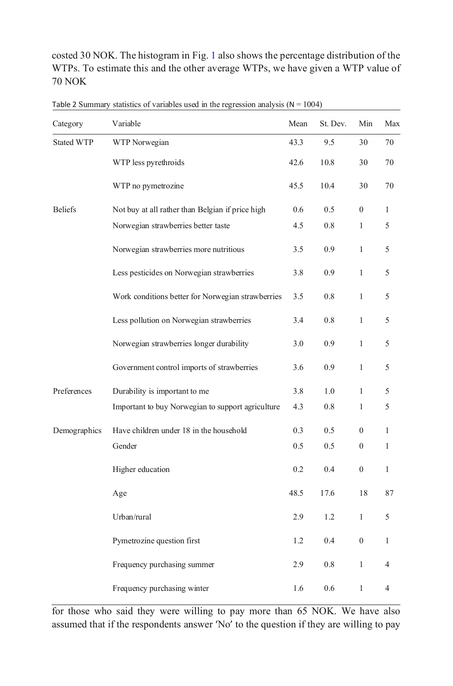costed 30 NOK. The histogram in Fig. 1 also shows the percentage distribution of the WTPs. To estimate this and the other average WTPs, we have given a WTP value of 70 NOK

| Category          | Variable                                          | Mean | St. Dev. | Min              | Max            |
|-------------------|---------------------------------------------------|------|----------|------------------|----------------|
| <b>Stated WTP</b> | WTP Norwegian                                     | 43.3 | 9.5      | 30               | 70             |
|                   | WTP less pyrethroids                              | 42.6 | 10.8     | 30               | 70             |
|                   | WTP no pymetrozine                                | 45.5 | 10.4     | 30               | 70             |
| <b>Beliefs</b>    | Not buy at all rather than Belgian if price high  | 0.6  | 0.5      | $\mathbf{0}$     | $\mathbf{1}$   |
|                   | Norwegian strawberries better taste               | 4.5  | 0.8      | 1                | 5              |
|                   | Norwegian strawberries more nutritious            | 3.5  | 0.9      | 1                | 5              |
|                   | Less pesticides on Norwegian strawberries         | 3.8  | 0.9      | $\mathbf{1}$     | 5              |
|                   | Work conditions better for Norwegian strawberries | 3.5  | 0.8      | $\mathbf{1}$     | 5              |
|                   | Less pollution on Norwegian strawberries          | 3.4  | 0.8      | 1                | 5              |
|                   | Norwegian strawberries longer durability          | 3.0  | 0.9      | 1                | 5              |
|                   | Government control imports of strawberries        | 3.6  | 0.9      | $\mathbf{1}$     | 5              |
| Preferences       | Durability is important to me                     | 3.8  | 1.0      | 1                | 5              |
|                   | Important to buy Norwegian to support agriculture | 4.3  | 0.8      | 1                | 5              |
| Demographics      | Have children under 18 in the household           | 0.3  | 0.5      | $\mathbf{0}$     | $\mathbf{1}$   |
|                   | Gender                                            | 0.5  | 0.5      | $\boldsymbol{0}$ | $\mathbf{1}$   |
|                   | Higher education                                  | 0.2  | 0.4      | $\mathbf{0}$     | $\mathbf{1}$   |
|                   | Age                                               | 48.5 | 17.6     | 18               | 87             |
|                   | Urban/rural                                       | 2.9  | 1.2      | $\mathbf{1}$     | 5              |
|                   | Pymetrozine question first                        | 1.2  | 0.4      | $\mathbf{0}$     | $\mathbf{1}$   |
|                   | Frequency purchasing summer                       | 2.9  | 0.8      | $\mathbf{1}$     | $\overline{4}$ |
|                   | Frequency purchasing winter                       | 1.6  | 0.6      | 1                | 4              |

Table 2 Summary statistics of variables used in the regression analysis  $(N = 1004)$ 

for those who said they were willing to pay more than 65 NOK. We have also assumed that if the respondents answer 'No' to the question if they are willing to pay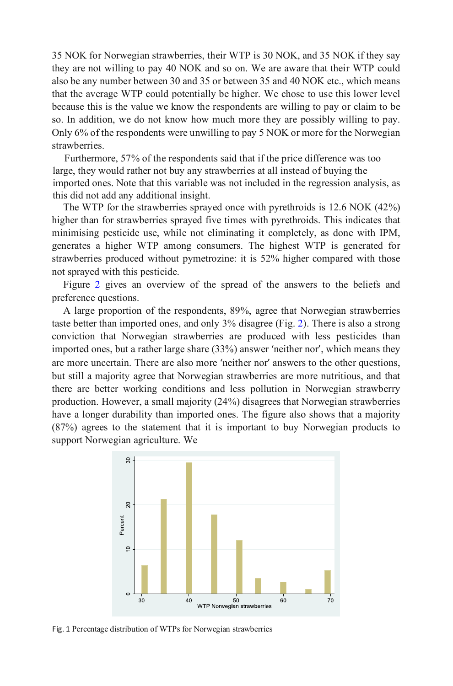35 NOK for Norwegian strawberries, their WTP is 30 NOK, and 35 NOK if they say they are not willing to pay 40 NOK and so on. We are aware that their WTP could also be any number between 30 and 35 or between 35 and 40 NOK etc., which means that the average WTP could potentially be higher. We chose to use this lower level because this is the value we know the respondents are willing to pay or claim to be so. In addition, we do not know how much more they are possibly willing to pay. Only 6% of the respondents were unwilling to pay 5 NOK or more for the Norwegian strawberries.

Furthermore, 57% of the respondents said that if the price difference was too large, they would rather not buy any strawberries at all instead of buying the imported ones. Note that this variable was not included in the regression analysis, as this did not add any additional insight.

The WTP for the strawberries sprayed once with pyrethroids is 12.6 NOK (42%) higher than for strawberries sprayed five times with pyrethroids. This indicates that minimising pesticide use, while not eliminating it completely, as done with IPM, generates a higher WTP among consumers. The highest WTP is generated for strawberries produced without pymetrozine: it is 52% higher compared with those not sprayed with this pesticide.

Figure 2 gives an overview of the spread of the answers to the beliefs and preference questions.

A large proportion of the respondents, 89%, agree that Norwegian strawberries taste better than imported ones, and only 3% disagree (Fig. 2). There is also a strong conviction that Norwegian strawberries are produced with less pesticides than imported ones, but a rather large share (33%) answer 'neither nor', which means they are more uncertain. There are also more 'neither nor' answers to the other questions, but still a majority agree that Norwegian strawberries are more nutritious, and that there are better working conditions and less pollution in Norwegian strawberry production. However, a small majority (24%) disagrees that Norwegian strawberries have a longer durability than imported ones. The figure also shows that a majority (87%) agrees to the statement that it is important to buy Norwegian products to support Norwegian agriculture. We



Fig. 1 Percentage distribution of WTPs for Norwegian strawberries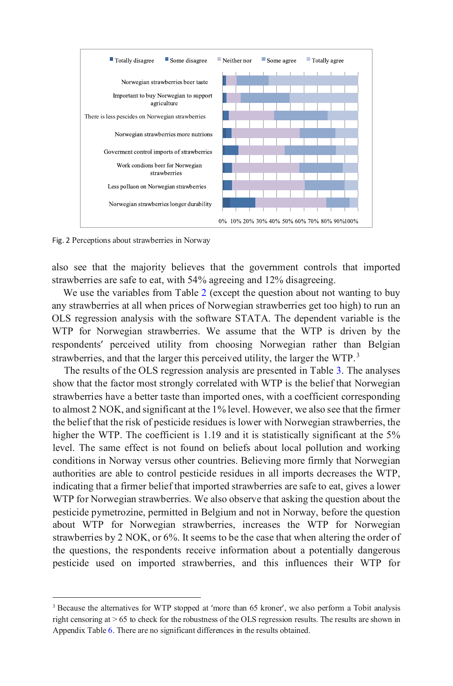

Fig. 2 Perceptions about strawberries in Norway

also see that the majority believes that the government controls that imported strawberries are safe to eat, with 54% agreeing and 12% disagreeing.

We use the variables from Table 2 (except the question about not wanting to buy any strawberries at all when prices of Norwegian strawberries get too high) to run an OLS regression analysis with the software STATA. The dependent variable is the WTP for Norwegian strawberries. We assume that the WTP is driven by the respondents' perceived utility from choosing Norwegian rather than Belgian strawberries, and that the larger this perceived utility, the larger the WTP.<sup>[3](#page-11-0)</sup>

The results of the OLS regression analysis are presented in Table 3. The analyses show that the factor most strongly correlated with WTP is the belief that Norwegian strawberries have a better taste than imported ones, with a coefficient corresponding to almost 2 NOK, and significant at the 1% level. However, we also see that the firmer the belief that the risk of pesticide residues is lower with Norwegian strawberries, the higher the WTP. The coefficient is 1.19 and it is statistically significant at the 5% level. The same effect is not found on beliefs about local pollution and working conditions in Norway versus other countries. Believing more firmly that Norwegian authorities are able to control pesticide residues in all imports decreases the WTP, indicating that a firmer belief that imported strawberries are safe to eat, gives a lower WTP for Norwegian strawberries. We also observe that asking the question about the pesticide pymetrozine, permitted in Belgium and not in Norway, before the question about WTP for Norwegian strawberries, increases the WTP for Norwegian strawberries by 2 NOK, or 6%. It seems to be the case that when altering the order of the questions, the respondents receive information about a potentially dangerous pesticide used on imported strawberries, and this influences their WTP for

<span id="page-11-0"></span><sup>&</sup>lt;sup>3</sup> Because the alternatives for WTP stopped at 'more than 65 kroner', we also perform a Tobit analysis right censoring at > 65 to check for the robustness of the OLS regression results. The results are shown in Appendix Table 6. There are no significant differences in the results obtained.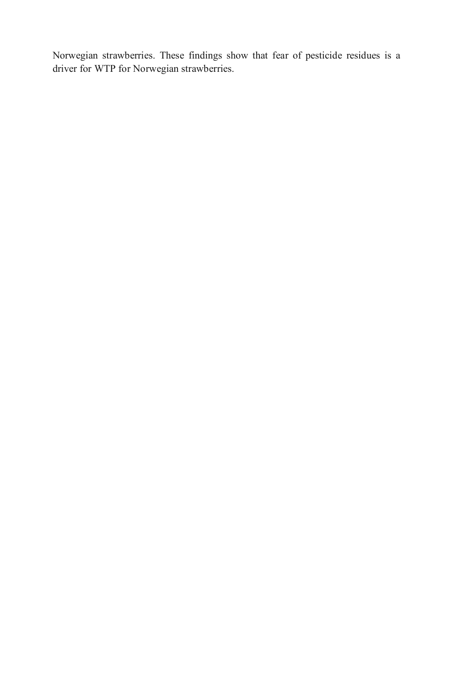Norwegian strawberries. These findings show that fear of pesticide residues is a driver for WTP for Norwegian strawberries.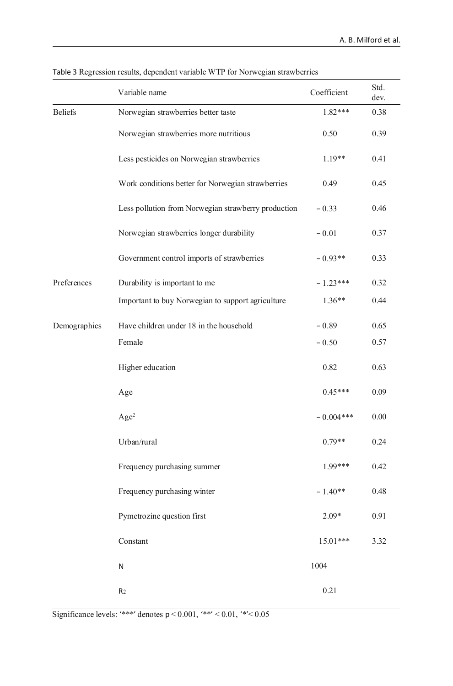|                | Variable name                                       | Coefficient | Std.<br>dev. |
|----------------|-----------------------------------------------------|-------------|--------------|
| <b>Beliefs</b> | Norwegian strawberries better taste                 | $1.82***$   | 0.38         |
|                | Norwegian strawberries more nutritious              | 0.50        | 0.39         |
|                | Less pesticides on Norwegian strawberries           | $1.19**$    | 0.41         |
|                | Work conditions better for Norwegian strawberries   | 0.49        | 0.45         |
|                | Less pollution from Norwegian strawberry production | $-0.33$     | 0.46         |
|                | Norwegian strawberries longer durability            | $-0.01$     | 0.37         |
|                | Government control imports of strawberries          | $-0.93**$   | 0.33         |
| Preferences    | Durability is important to me                       | $-1.23***$  | 0.32         |
|                | Important to buy Norwegian to support agriculture   | $1.36**$    | 0.44         |
| Demographics   | Have children under 18 in the household             | $-0.89$     | 0.65         |
|                | Female                                              | $-0.50$     | 0.57         |
|                | Higher education                                    | 0.82        | 0.63         |
|                | Age                                                 | $0.45***$   | 0.09         |
|                | Age <sup>2</sup>                                    | $-0.004***$ | 0.00         |
|                | Urban/rural                                         | $0.79**$    | 0.24         |
|                | Frequency purchasing summer                         | 1.99***     | 0.42         |
|                | Frequency purchasing winter                         | $-1.40**$   | 0.48         |
|                | Pymetrozine question first                          | $2.09*$     | 0.91         |
|                | Constant                                            | $15.01***$  | 3.32         |
|                | N                                                   | 1004        |              |
|                | R <sub>2</sub>                                      | 0.21        |              |

## Table 3 Regression results, dependent variable WTP for Norwegian strawberries

Significance levels: '\*\*\*' denotes  $p < 0.001$ , '\*\*'  $< 0.01$ , '\*'  $< 0.05$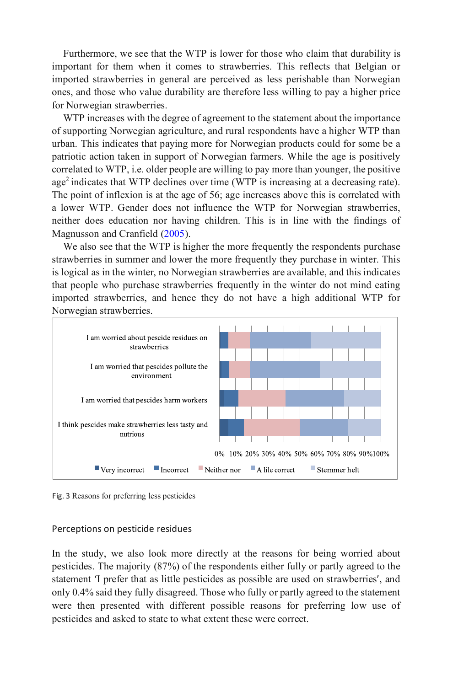Furthermore, we see that the WTP is lower for those who claim that durability is important for them when it comes to strawberries. This reflects that Belgian or imported strawberries in general are perceived as less perishable than Norwegian ones, and those who value durability are therefore less willing to pay a higher price for Norwegian strawberries.

WTP increases with the degree of agreement to the statement about the importance of supporting Norwegian agriculture, and rural respondents have a higher WTP than urban. This indicates that paying more for Norwegian products could for some be a patriotic action taken in support of Norwegian farmers. While the age is positively correlated to WTP, i.e. older people are willing to pay more than younger, the positive age<sup>2</sup> indicates that WTP declines over time (WTP is increasing at a decreasing rate). The point of inflexion is at the age of 56; age increases above this is correlated with a lower WTP. Gender does not influence the WTP for Norwegian strawberries, neither does education nor having children. This is in line with the findings of Magnusson and Cranfield (2005).

We also see that the WTP is higher the more frequently the respondents purchase strawberries in summer and lower the more frequently they purchase in winter. This is logical as in the winter, no Norwegian strawberries are available, and this indicates that people who purchase strawberries frequently in the winter do not mind eating imported strawberries, and hence they do not have a high additional WTP for Norwegian strawberries.



Fig. 3 Reasons for preferring less pesticides

#### Perceptions on pesticide residues

In the study, we also look more directly at the reasons for being worried about pesticides. The majority (87%) of the respondents either fully or partly agreed to the statement 'I prefer that as little pesticides as possible are used on strawberries', and only 0.4% said they fully disagreed. Those who fully or partly agreed to the statement were then presented with different possible reasons for preferring low use of pesticides and asked to state to what extent these were correct.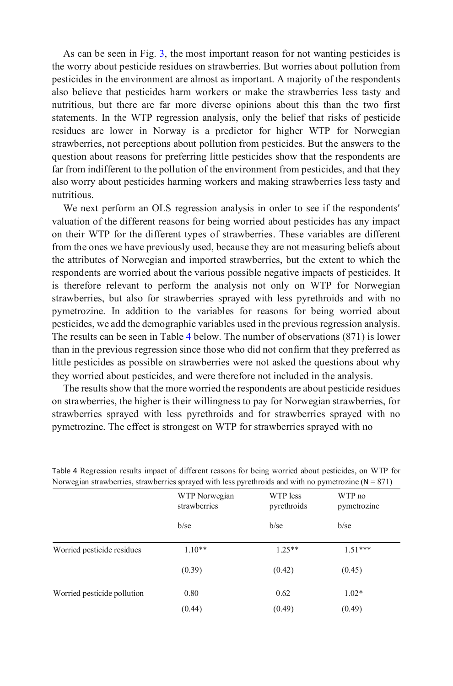As can be seen in Fig. 3, the most important reason for not wanting pesticides is the worry about pesticide residues on strawberries. But worries about pollution from pesticides in the environment are almost as important. A majority of the respondents also believe that pesticides harm workers or make the strawberries less tasty and nutritious, but there are far more diverse opinions about this than the two first statements. In the WTP regression analysis, only the belief that risks of pesticide residues are lower in Norway is a predictor for higher WTP for Norwegian strawberries, not perceptions about pollution from pesticides. But the answers to the question about reasons for preferring little pesticides show that the respondents are far from indifferent to the pollution of the environment from pesticides, and that they also worry about pesticides harming workers and making strawberries less tasty and nutritious.

We next perform an OLS regression analysis in order to see if the respondents' valuation of the different reasons for being worried about pesticides has any impact on their WTP for the different types of strawberries. These variables are different from the ones we have previously used, because they are not measuring beliefs about the attributes of Norwegian and imported strawberries, but the extent to which the respondents are worried about the various possible negative impacts of pesticides. It is therefore relevant to perform the analysis not only on WTP for Norwegian strawberries, but also for strawberries sprayed with less pyrethroids and with no pymetrozine. In addition to the variables for reasons for being worried about pesticides, we add the demographic variables used in the previous regression analysis. The results can be seen in Table 4 below. The number of observations (871) is lower than in the previous regression since those who did not confirm that they preferred as little pesticides as possible on strawberries were not asked the questions about why they worried about pesticides, and were therefore not included in the analysis.

The results show that the more worried the respondents are about pesticide residues on strawberries, the higher is their willingness to pay for Norwegian strawberries, for strawberries sprayed with less pyrethroids and for strawberries sprayed with no pymetrozine. The effect is strongest on WTP for strawberries sprayed with no

| $\alpha$ is the productive of $\alpha$ is a contract that is speaked with the system of the with no pymetrozine ( $\alpha = \alpha/4$ ) |                               |                         |                       |
|-----------------------------------------------------------------------------------------------------------------------------------------|-------------------------------|-------------------------|-----------------------|
|                                                                                                                                         | WTP Norwegian<br>strawberries | WTP less<br>pyrethroids | WTP no<br>pymetrozine |
|                                                                                                                                         | $b$ /se                       | $b$ /se                 | $b$ /se               |
| Worried pesticide residues                                                                                                              | $1.10**$                      | $1.25**$                | $1.51***$             |
|                                                                                                                                         | (0.39)                        | (0.42)                  | (0.45)                |
| Worried pesticide pollution                                                                                                             | 0.80                          | 0.62                    | $1.02*$               |
|                                                                                                                                         | (0.44)                        | (0.49)                  | (0.49)                |

Table 4 Regression results impact of different reasons for being worried about pesticides, on WTP for Norwegian strawberries, strawberries, sprayed with less pyrethroids and with no pymetrozine  $(N = 871)$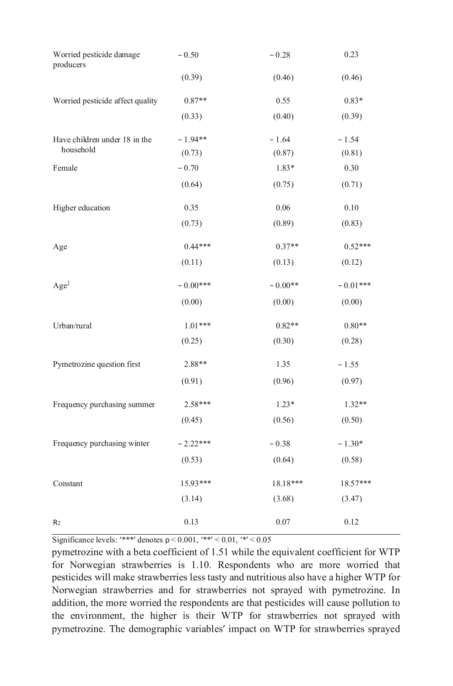| Worried pesticide damage<br>producers | $-0.50$    | $-0.28$   | 0.23       |
|---------------------------------------|------------|-----------|------------|
|                                       | (0.39)     | (0.46)    | (0.46)     |
| Worried pesticide affect quality      | $0.87**$   | 0.55      | $0.83*$    |
|                                       | (0.33)     | (0.40)    | (0.39)     |
| Have children under 18 in the         | $-1.94**$  | $-1.64$   | $-1.54$    |
| household                             | (0.73)     | (0.87)    | (0.81)     |
| Female                                | $-0.70$    | $1.83*$   | 0.30       |
|                                       | (0.64)     | (0.75)    | (0.71)     |
| Higher education                      | 0.35       | 0.06      | 0.10       |
|                                       | (0.73)     | (0.89)    | (0.83)     |
| Age                                   | $0.44***$  | $0.37**$  | $0.52***$  |
|                                       | (0.11)     | (0.13)    | (0.12)     |
| Age <sup>2</sup>                      | $-0.00***$ | $-0.00**$ | $-0.01***$ |
|                                       | (0.00)     | (0.00)    | (0.00)     |
| Urban/rural                           | $1.01***$  | $0.82**$  | $0.80**$   |
|                                       | (0.25)     | (0.30)    | (0.28)     |
| Pymetrozine question first            | 2.88**     | 1.35      | $-1.55$    |
|                                       | (0.91)     | (0.96)    | (0.97)     |
| Frequency purchasing summer           | 2.58***    | $1.23*$   | $1.32**$   |
|                                       | (0.45)     | (0.56)    | (0.50)     |
| Frequency purchasing winter           | $-2.22***$ | $-0.38$   | $-1.30*$   |
|                                       | (0.53)     | (0.64)    | (0.58)     |
| Constant                              | 15.93***   | 18.18***  | 18.57***   |
|                                       | (3.14)     | (3.68)    | (3.47)     |
| R <sub>2</sub>                        | 0.13       | 0.07      | 0.12       |

Significance levels: '\*\*\*' denotes  $p < 0.001$ , '\*\*'  $< 0.01$ , '\*'  $< 0.05$ 

pymetrozine with a beta coefficient of 1.51 while the equivalent coefficient for WTP for Norwegian strawberries is 1.10. Respondents who are more worried that pesticides will make strawberries less tasty and nutritious also have a higher WTP for Norwegian strawberries and for strawberries not sprayed with pymetrozine. In addition, the more worried the respondents are that pesticides will cause pollution to the environment, the higher is their WTP for strawberries not sprayed with pymetrozine. The demographic variables' impact on WTP for strawberries sprayed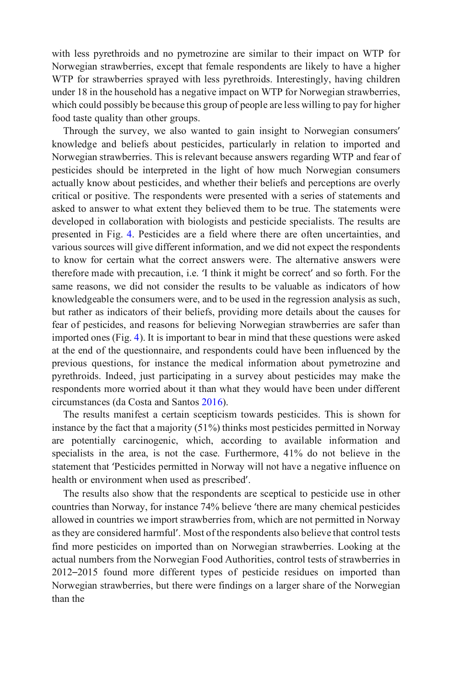with less pyrethroids and no pymetrozine are similar to their impact on WTP for Norwegian strawberries, except that female respondents are likely to have a higher WTP for strawberries sprayed with less pyrethroids. Interestingly, having children under 18 in the household has a negative impact on WTP for Norwegian strawberries, which could possibly be because this group of people are less willing to pay for higher food taste quality than other groups.

Through the survey, we also wanted to gain insight to Norwegian consumers' knowledge and beliefs about pesticides, particularly in relation to imported and Norwegian strawberries. This is relevant because answers regarding WTP and fear of pesticides should be interpreted in the light of how much Norwegian consumers actually know about pesticides, and whether their beliefs and perceptions are overly critical or positive. The respondents were presented with a series of statements and asked to answer to what extent they believed them to be true. The statements were developed in collaboration with biologists and pesticide specialists. The results are presented in Fig. 4. Pesticides are a field where there are often uncertainties, and various sources will give different information, and we did not expect the respondents to know for certain what the correct answers were. The alternative answers were therefore made with precaution, i.e. 'I think it might be correct' and so forth. For the same reasons, we did not consider the results to be valuable as indicators of how knowledgeable the consumers were, and to be used in the regression analysis as such, but rather as indicators of their beliefs, providing more details about the causes for fear of pesticides, and reasons for believing Norwegian strawberries are safer than imported ones (Fig. 4). It is important to bear in mind that these questions were asked at the end of the questionnaire, and respondents could have been influenced by the previous questions, for instance the medical information about pymetrozine and pyrethroids. Indeed, just participating in a survey about pesticides may make the respondents more worried about it than what they would have been under different circumstances (da Costa and Santos 2016).

The results manifest a certain scepticism towards pesticides. This is shown for instance by the fact that a majority (51%) thinks most pesticides permitted in Norway are potentially carcinogenic, which, according to available information and specialists in the area, is not the case. Furthermore, 41% do not believe in the statement that 'Pesticides permitted in Norway will not have a negative influence on health or environment when used as prescribed'.

The results also show that the respondents are sceptical to pesticide use in other countries than Norway, for instance 74% believe 'there are many chemical pesticides allowed in countries we import strawberries from, which are not permitted in Norway as they are considered harmful'. Most of the respondents also believe that control tests find more pesticides on imported than on Norwegian strawberries. Looking at the actual numbers from the Norwegian Food Authorities, control tests of strawberries in 2012–2015 found more different types of pesticide residues on imported than Norwegian strawberries, but there were findings on a larger share of the Norwegian than the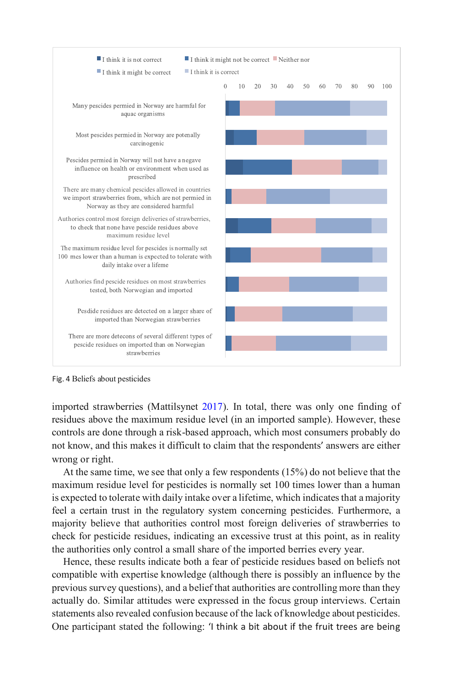

Fig. 4 Beliefs about pesticides

imported strawberries (Mattilsynet 2017). In total, there was only one finding of residues above the maximum residue level (in an imported sample). However, these controls are done through a risk-based approach, which most consumers probably do not know, and this makes it difficult to claim that the respondents' answers are either wrong or right.

At the same time, we see that only a few respondents (15%) do not believe that the maximum residue level for pesticides is normally set 100 times lower than a human is expected to tolerate with daily intake over a lifetime, which indicates that a majority feel a certain trust in the regulatory system concerning pesticides. Furthermore, a majority believe that authorities control most foreign deliveries of strawberries to check for pesticide residues, indicating an excessive trust at this point, as in reality the authorities only control a small share of the imported berries every year.

Hence, these results indicate both a fear of pesticide residues based on beliefs not compatible with expertise knowledge (although there is possibly an influence by the previous survey questions), and a belief that authorities are controlling more than they actually do. Similar attitudes were expressed in the focus group interviews. Certain statements also revealed confusion because of the lack of knowledge about pesticides. One participant stated the following: 'I think a bit about if the fruit trees are being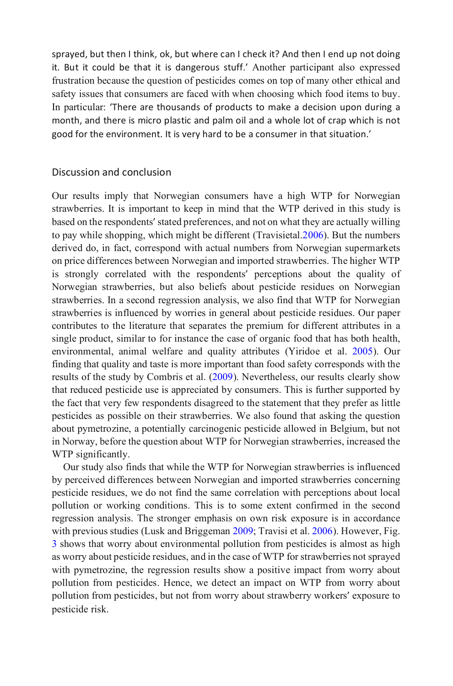sprayed, but then I think, ok, but where can I check it? And then I end up not doing it. But it could be that it is dangerous stuff.' Another participant also expressed frustration because the question of pesticides comes on top of many other ethical and safety issues that consumers are faced with when choosing which food items to buy. In particular: 'There are thousands of products to make a decision upon during a month, and there is micro plastic and palm oil and a whole lot of crap which is not good for the environment. It is very hard to be a consumer in that situation.'

## Discussion and conclusion

Our results imply that Norwegian consumers have a high WTP for Norwegian strawberries. It is important to keep in mind that the WTP derived in this study is based on the respondents' stated preferences, and not on what they are actually willing to pay while shopping, which might be different (Travisietal.2006). But the numbers derived do, in fact, correspond with actual numbers from Norwegian supermarkets on price differences between Norwegian and imported strawberries. The higher WTP is strongly correlated with the respondents' perceptions about the quality of Norwegian strawberries, but also beliefs about pesticide residues on Norwegian strawberries. In a second regression analysis, we also find that WTP for Norwegian strawberries is influenced by worries in general about pesticide residues. Our paper contributes to the literature that separates the premium for different attributes in a single product, similar to for instance the case of organic food that has both health, environmental, animal welfare and quality attributes (Yiridoe et al. 2005). Our finding that quality and taste is more important than food safety corresponds with the results of the study by Combris et al. (2009). Nevertheless, our results clearly show that reduced pesticide use is appreciated by consumers. This is further supported by the fact that very few respondents disagreed to the statement that they prefer as little pesticides as possible on their strawberries. We also found that asking the question about pymetrozine, a potentially carcinogenic pesticide allowed in Belgium, but not in Norway, before the question about WTP for Norwegian strawberries, increased the WTP significantly.

Our study also finds that while the WTP for Norwegian strawberries is influenced by perceived differences between Norwegian and imported strawberries concerning pesticide residues, we do not find the same correlation with perceptions about local pollution or working conditions. This is to some extent confirmed in the second regression analysis. The stronger emphasis on own risk exposure is in accordance with previous studies (Lusk and Briggeman 2009; Travisi et al. 2006). However, Fig. 3 shows that worry about environmental pollution from pesticides is almost as high as worry about pesticide residues, and in the case of WTP for strawberries not sprayed with pymetrozine, the regression results show a positive impact from worry about pollution from pesticides. Hence, we detect an impact on WTP from worry about pollution from pesticides, but not from worry about strawberry workers' exposure to pesticide risk.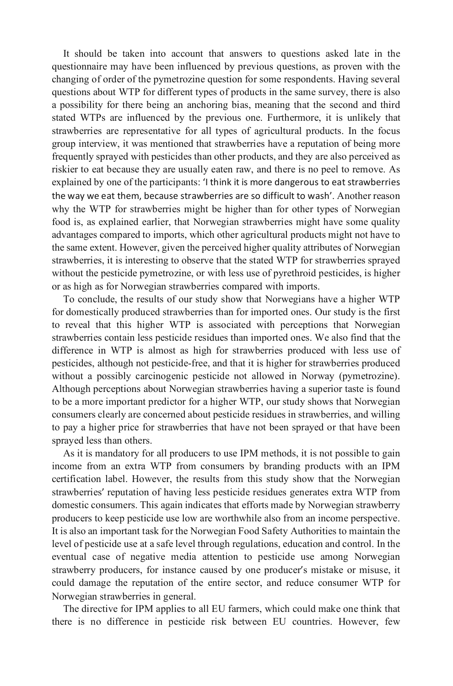It should be taken into account that answers to questions asked late in the questionnaire may have been influenced by previous questions, as proven with the changing of order of the pymetrozine question for some respondents. Having several questions about WTP for different types of products in the same survey, there is also a possibility for there being an anchoring bias, meaning that the second and third stated WTPs are influenced by the previous one. Furthermore, it is unlikely that strawberries are representative for all types of agricultural products. In the focus group interview, it was mentioned that strawberries have a reputation of being more frequently sprayed with pesticides than other products, and they are also perceived as riskier to eat because they are usually eaten raw, and there is no peel to remove. As explained by one of the participants: 'I think it is more dangerous to eat strawberries the way we eat them, because strawberries are so difficult to wash'. Another reason why the WTP for strawberries might be higher than for other types of Norwegian food is, as explained earlier, that Norwegian strawberries might have some quality advantages compared to imports, which other agricultural products might not have to the same extent. However, given the perceived higher quality attributes of Norwegian strawberries, it is interesting to observe that the stated WTP for strawberries sprayed without the pesticide pymetrozine, or with less use of pyrethroid pesticides, is higher or as high as for Norwegian strawberries compared with imports.

To conclude, the results of our study show that Norwegians have a higher WTP for domestically produced strawberries than for imported ones. Our study is the first to reveal that this higher WTP is associated with perceptions that Norwegian strawberries contain less pesticide residues than imported ones. We also find that the difference in WTP is almost as high for strawberries produced with less use of pesticides, although not pesticide-free, and that it is higher for strawberries produced without a possibly carcinogenic pesticide not allowed in Norway (pymetrozine). Although perceptions about Norwegian strawberries having a superior taste is found to be a more important predictor for a higher WTP, our study shows that Norwegian consumers clearly are concerned about pesticide residues in strawberries, and willing to pay a higher price for strawberries that have not been sprayed or that have been sprayed less than others.

As it is mandatory for all producers to use IPM methods, it is not possible to gain income from an extra WTP from consumers by branding products with an IPM certification label. However, the results from this study show that the Norwegian strawberries' reputation of having less pesticide residues generates extra WTP from domestic consumers. This again indicates that efforts made by Norwegian strawberry producers to keep pesticide use low are worthwhile also from an income perspective. It is also an important task for the Norwegian Food Safety Authorities to maintain the level of pesticide use at a safe level through regulations, education and control. In the eventual case of negative media attention to pesticide use among Norwegian strawberry producers, for instance caused by one producer's mistake or misuse, it could damage the reputation of the entire sector, and reduce consumer WTP for Norwegian strawberries in general.

The directive for IPM applies to all EU farmers, which could make one think that there is no difference in pesticide risk between EU countries. However, few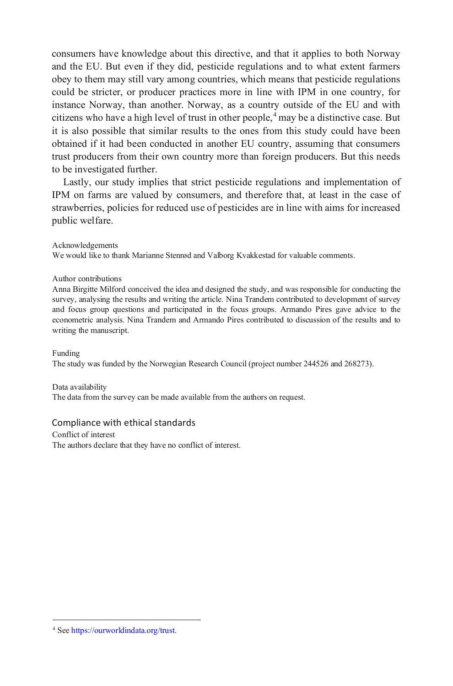consumers have knowledge about this directive, and that it applies to both Norway and the EU. But even if they did, pesticide regulations and to what extent farmers obey to them may still vary among countries, which means that pesticide regulations could be stricter, or producer practices more in line with IPM in one country, for instance Norway, than another. Norway, as a country outside of the EU and with citizens who have a high level of trust in other people,  $4$  may be a distinctive case. But it is also possible that similar results to the ones from this study could have been obtained if it had been conducted in another EU country, assuming that consumers trust producers from their own country more than foreign producers. But this needs to be investigated further.

Lastly, our study implies that strict pesticide regulations and implementation of IPM on farms are valued by consumers, and therefore that, at least in the case of strawberries, policies for reduced use of pesticides are in line with aims for increased public welfare.

Acknowledgements

We would like to thank Marianne Stenrød and Valborg Kvakkestad for valuable comments.

Author contributions

Anna Birgitte Milford conceived the idea and designed the study, and was responsible for conducting the survey, analysing the results and writing the article. Nina Trandem contributed to development of survey and focus group questions and participated in the focus groups. Armando Pires gave advice to the econometric analysis. Nina Trandem and Armando Pires contributed to discussion of the results and to writing the manuscript.

Funding

The study was funded by the Norwegian Research Council (project number 244526 and 268273).

Data availability

The data from the survey can be made available from the authors on request.

#### Compliance with ethical standards

Conflict of interest The authors declare that they have no conflict of interest.

<span id="page-21-0"></span><sup>4</sup> Se[e https://ourworldindata.org/trust.](https://ourworldindata.org/trust)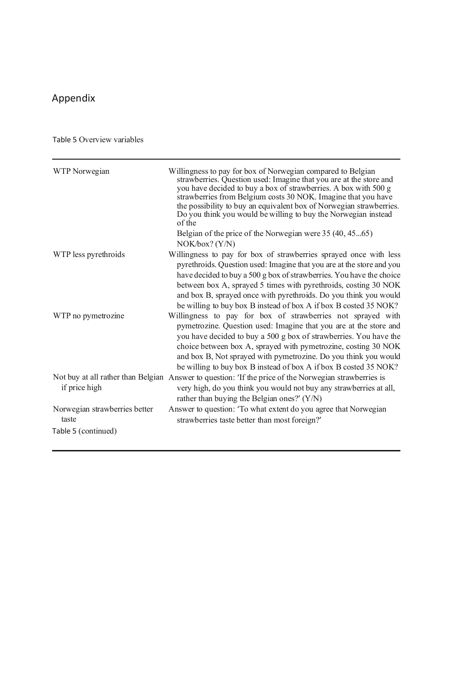## Appendix

Table 5 Overview variables

| WTP Norwegian                          | Willingness to pay for box of Norwegian compared to Belgian<br>strawberries. Question used: Imagine that you are at the store and<br>you have decided to buy a box of strawberries. A box with 500 g<br>strawberries from Belgium costs 30 NOK. Imagine that you have<br>the possibility to buy an equivalent box of Norwegian strawberries.<br>Do you think you would be willing to buy the Norwegian instead<br>of the<br>Belgian of the price of the Norwegian were 35 (40, 4565)<br>NOK/box? (Y/N) |
|----------------------------------------|--------------------------------------------------------------------------------------------------------------------------------------------------------------------------------------------------------------------------------------------------------------------------------------------------------------------------------------------------------------------------------------------------------------------------------------------------------------------------------------------------------|
| WTP less pyrethroids                   | Willingness to pay for box of strawberries sprayed once with less<br>pyrethroids. Question used: Imagine that you are at the store and you<br>have decided to buy a 500 g box of strawberries. You have the choice<br>between box A, sprayed 5 times with pyrethroids, costing 30 NOK<br>and box B, sprayed once with pyrethroids. Do you think you would<br>be willing to buy box B instead of box A if box B costed 35 NOK?                                                                          |
| WTP no pymetrozine                     | Willingness to pay for box of strawberries not sprayed with<br>pymetrozine. Question used: Imagine that you are at the store and<br>you have decided to buy a 500 g box of strawberries. You have the<br>choice between box A, sprayed with pymetrozine, costing 30 NOK<br>and box B, Not sprayed with pymetrozine. Do you think you would<br>be willing to buy box B instead of box A if box B costed 35 NOK?                                                                                         |
| if price high                          | Not buy at all rather than Belgian Answer to question: 'If the price of the Norwegian strawberries is<br>very high, do you think you would not buy any strawberries at all,<br>rather than buying the Belgian ones?' $(Y/N)$                                                                                                                                                                                                                                                                           |
| Norwegian strawberries better<br>taste | Answer to question: 'To what extent do you agree that Norwegian<br>strawberries taste better than most foreign?'                                                                                                                                                                                                                                                                                                                                                                                       |
| Table 5 (continued)                    |                                                                                                                                                                                                                                                                                                                                                                                                                                                                                                        |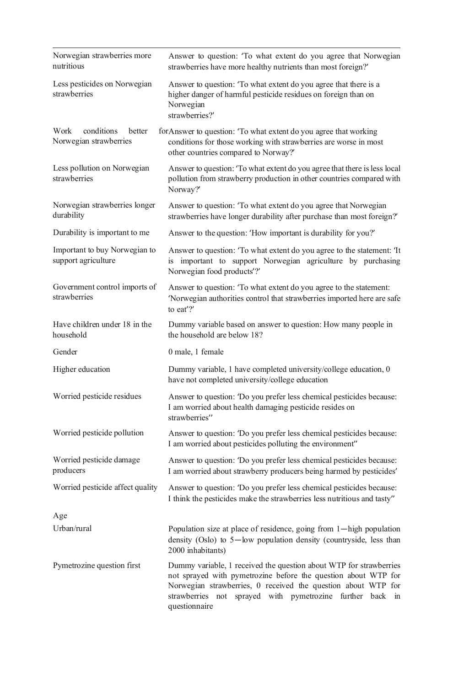| Norwegian strawberries more<br>nutritious              | Answer to question: 'To what extent do you agree that Norwegian<br>strawberries have more healthy nutrients than most foreign?'                                                                                                                                                     |
|--------------------------------------------------------|-------------------------------------------------------------------------------------------------------------------------------------------------------------------------------------------------------------------------------------------------------------------------------------|
| Less pesticides on Norwegian<br>strawberries           | Answer to question: 'To what extent do you agree that there is a<br>higher danger of harmful pesticide residues on foreign than on<br>Norwegian<br>strawberries?'                                                                                                                   |
| conditions<br>Work<br>better<br>Norwegian strawberries | for Answer to question: 'To what extent do you agree that working<br>conditions for those working with strawberries are worse in most<br>other countries compared to Norway?'                                                                                                       |
| Less pollution on Norwegian<br>strawberries            | Answer to question: 'To what extent do you agree that there is less local<br>pollution from strawberry production in other countries compared with<br>Norway?                                                                                                                       |
| Norwegian strawberries longer<br>durability            | Answer to question: 'To what extent do you agree that Norwegian<br>strawberries have longer durability after purchase than most foreign?                                                                                                                                            |
| Durability is important to me                          | Answer to the question: 'How important is durability for you?'                                                                                                                                                                                                                      |
| Important to buy Norwegian to<br>support agriculture   | Answer to question: 'To what extent do you agree to the statement: 'It<br>is important to support Norwegian agriculture by purchasing<br>Norwegian food products'?'                                                                                                                 |
| Government control imports of<br>strawberries          | Answer to question: 'To what extent do you agree to the statement:<br>'Norwegian authorities control that strawberries imported here are safe<br>to eat $'$ ?'                                                                                                                      |
| Have children under 18 in the<br>household             | Dummy variable based on answer to question: How many people in<br>the household are below 18?                                                                                                                                                                                       |
| Gender                                                 | 0 male, 1 female                                                                                                                                                                                                                                                                    |
| Higher education                                       | Dummy variable, 1 have completed university/college education, 0<br>have not completed university/college education                                                                                                                                                                 |
| Worried pesticide residues                             | Answer to question: 'Do you prefer less chemical pesticides because:<br>I am worried about health damaging pesticide resides on<br>strawberries"                                                                                                                                    |
| Worried pesticide pollution                            | Answer to question: 'Do you prefer less chemical pesticides because:<br>I am worried about pesticides polluting the environment"                                                                                                                                                    |
| Worried pesticide damage<br>producers                  | Answer to question: 'Do you prefer less chemical pesticides because:<br>I am worried about strawberry producers being harmed by pesticides'                                                                                                                                         |
| Worried pesticide affect quality                       | Answer to question: 'Do you prefer less chemical pesticides because:<br>I think the pesticides make the strawberries less nutritious and tasty"                                                                                                                                     |
| Age                                                    |                                                                                                                                                                                                                                                                                     |
| Urban/rural                                            | Population size at place of residence, going from 1-high population<br>density (Oslo) to $5$ —low population density (countryside, less than<br>2000 inhabitants)                                                                                                                   |
| Pymetrozine question first                             | Dummy variable, 1 received the question about WTP for strawberries<br>not sprayed with pymetrozine before the question about WTP for<br>Norwegian strawberries, 0 received the question about WTP for<br>strawberries not sprayed with pymetrozine further back in<br>questionnaire |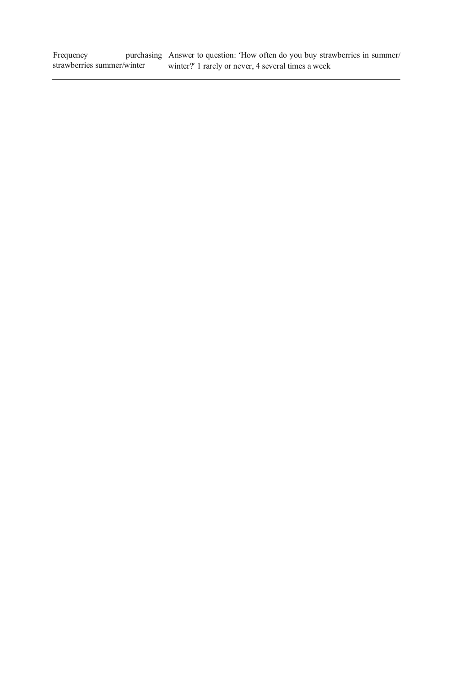Frequency purchasing strawberries summer/winter Answer to question: 'How often do you buy strawberries in summer/ winter?' 1 rarely or never, 4 several times a week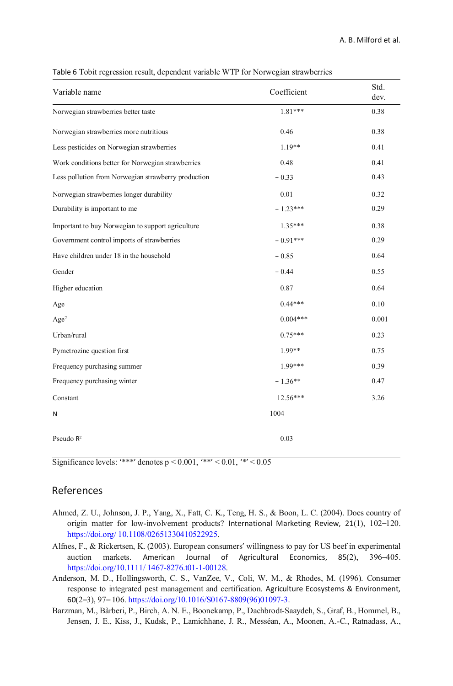| Variable name                                       | Coefficient | Std.<br>dev. |
|-----------------------------------------------------|-------------|--------------|
| Norwegian strawberries better taste                 | 1.81***     | 0.38         |
| Norwegian strawberries more nutritious              | 0.46        | 0.38         |
| Less pesticides on Norwegian strawberries           | $1.19**$    | 0.41         |
| Work conditions better for Norwegian strawberries   | 0.48        | 0.41         |
| Less pollution from Norwegian strawberry production | $-0.33$     | 0.43         |
| Norwegian strawberries longer durability            | 0.01        | 0.32         |
| Durability is important to me                       | $-1.23***$  | 0.29         |
| Important to buy Norwegian to support agriculture   | $1.35***$   | 0.38         |
| Government control imports of strawberries          | $-0.91***$  | 0.29         |
| Have children under 18 in the household             | $-0.85$     | 0.64         |
| Gender                                              | $-0.44$     | 0.55         |
| Higher education                                    | 0.87        | 0.64         |
| Age                                                 | $0.44***$   | 0.10         |
| Age <sup>2</sup>                                    | $0.004***$  | 0.001        |
| Urban/rural                                         | $0.75***$   | 0.23         |
| Pymetrozine question first                          | 1.99**      | 0.75         |
| Frequency purchasing summer                         | 1.99***     | 0.39         |
| Frequency purchasing winter                         | $-1.36**$   | 0.47         |
| Constant                                            | 12.56***    | 3.26         |
| N                                                   | 1004        |              |
| Pseudo $R^2$                                        | 0.03        |              |

Table 6 Tobit regression result, dependent variable WTP for Norwegian strawberries

Significance levels: '\*\*\*' denotes  $p \le 0.001$ , '\*\*'  $\le 0.01$ , '\*'  $\le 0.05$ 

## References

- Ahmed, Z. U., Johnson, J. P., Yang, X., Fatt, C. K., Teng, H. S., & Boon, L. C. (2004). Does country of origin matter for low-involvement products? International Marketing Review, 21(1), 102–120. [https://doi.org/ 10.1108/02651330410522925.](https://doi.org/10.1108/02651330410522925)
- Alfnes, F., & Rickertsen, K. (2003). European consumers' willingness to pay for US beef in experimental auction markets. American Journal of Agricultural Economics, 85(2), 396–405. [https://doi.org/10.1111/ 1467-8276.t01-1-00128.](https://doi.org/10.1111/1467-8276.t01-1-00128)
- Anderson, M. D., Hollingsworth, C. S., VanZee, V., Coli, W. M., & Rhodes, M. (1996). Consumer response to integrated pest management and certification. Agriculture Ecosystems & Environment, 60(2–3), 97– 106[. https://doi.org/10.1016/S0167-8809\(96\)01097-3.](https://doi.org/10.1016/S0167-8809(96)01097-3)
- Barzman, M., Bàrberi, P., Birch, A. N. E., Boonekamp, P., Dachbrodt-Saaydeh, S., Graf, B., Hommel, B., Jensen, J. E., Kiss, J., Kudsk, P., Lamichhane, J. R., Messéan, A., Moonen, A.-C., Ratnadass, A.,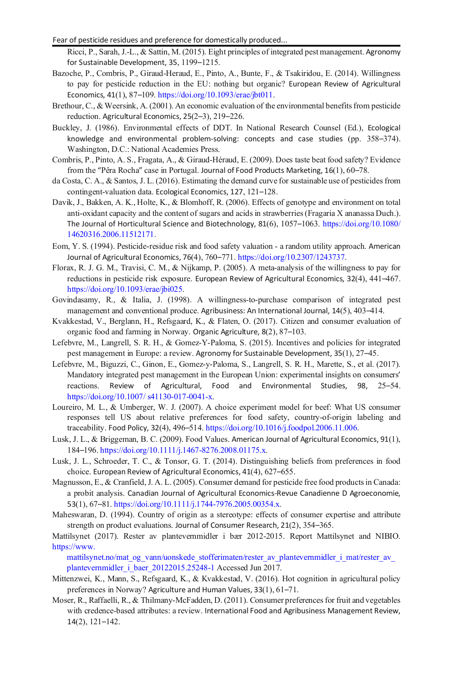- Fear of pesticide residues and preference for domestically produced...
	- Ricci, P., Sarah, J.-L., & Sattin, M. (2015). Eight principles of integrated pest management. Agronomy for Sustainable Development, 35, 1199–1215.
- Bazoche, P., Combris, P., Giraud-Heraud, E., Pinto, A., Bunte, F., & Tsakiridou, E. (2014). Willingness to pay for pesticide reduction in the EU: nothing but organic? European Review of Agricultural Economics, 41(1), 87–109[. https://doi.org/10.1093/erae/jbt011.](https://doi.org/10.1093/erae/jbt011)
- Brethour, C., & Weersink, A. (2001). An economic evaluation of the environmental benefits from pesticide reduction. Agricultural Economics, 25(2–3), 219–226.
- Buckley, J. (1986). Environmental effects of DDT. In National Research Counsel (Ed.), Ecological knowledge and environmental problem-solving: concepts and case studies (pp. 358–374). Washington, D.C.: National Academies Press.
- Combris, P., Pinto, A. S., Fragata, A., & Giraud-Héraud, E. (2009). Does taste beat food safety? Evidence from the "Pêra Rocha" case in Portugal. Journal of Food Products Marketing, 16(1), 60–78.
- da Costa, C. A., & Santos, J. L. (2016). Estimating the demand curve for sustainable use of pesticides from contingent-valuation data. Ecological Economics, 127, 121–128.
- Davik, J., Bakken, A. K., Holte, K., & Blomhoff, R. (2006). Effects of genotype and environment on total anti-oxidant capacity and the content of sugars and acids in strawberries (Fragaria X ananassa Duch.). The Journal of Horticultural Science and Biotechnology, 81(6), 1057–1063. [https://doi.org/10.1080/](https://doi.org/10.1080/14620316.2006.11512171)  [14620316.2006.11512171.](https://doi.org/10.1080/14620316.2006.11512171)
- Eom, Y. S. (1994). Pesticide-residue risk and food safety valuation a random utility approach. American Journal of Agricultural Economics, 76(4), 760–771[. https://doi.org/10.2307/1243737.](https://doi.org/10.2307/1243737)
- Florax, R. J. G. M., Travisi, C. M., & Nijkamp, P. (2005). A meta-analysis of the willingness to pay for reductions in pesticide risk exposure. European Review of Agricultural Economics, 32(4), 441–467. [https://doi.org/10.1093/erae/jbi025.](https://doi.org/10.1093/erae/jbi025)
- Govindasamy, R., & Italia, J. (1998). A willingness-to-purchase comparison of integrated pest management and conventional produce. Agribusiness: An International Journal, 14(5), 403–414.
- Kvakkestad, V., Berglann, H., Refsgaard, K., & Flaten, O. (2017). Citizen and consumer evaluation of organic food and farming in Norway. Organic Agriculture, 8(2), 87–103.
- Lefebvre, M., Langrell, S. R. H., & Gomez-Y-Paloma, S. (2015). Incentives and policies for integrated pest management in Europe: a review. Agronomy for Sustainable Development, 35(1), 27–45.
- Lefebvre, M., Biguzzi, C., Ginon, E., Gomez-y-Paloma, S., Langrell, S. R. H., Marette, S., et al. (2017). Mandatory integrated pest management in the European Union: experimental insights on consumers' reactions. Review of Agricultural, Food and Environmental Studies, 98, 25–54. [https://doi.org/10.1007/ s41130-017-0041-x.](https://doi.org/10.1007/s41130-017-0041-x)
- Loureiro, M. L., & Umberger, W. J. (2007). A choice experiment model for beef: What US consumer responses tell US about relative preferences for food safety, country-of-origin labeling and traceability. Food Policy, 32(4), 496–514[. https://doi.org/10.1016/j.foodpol.2006.11.006.](https://doi.org/10.1016/j.foodpol.2006.11.006)
- Lusk, J. L., & Briggeman, B. C. (2009). Food Values. American Journal of Agricultural Economics, 91(1), 184–196[. https://doi.org/10.1111/j.1467-8276.2008.01175.x.](https://doi.org/10.1111/j.1467-8276.2008.01175.x)
- Lusk, J. L., Schroeder, T. C., & Tonsor, G. T. (2014). Distinguishing beliefs from preferences in food choice. European Review of Agricultural Economics, 41(4), 627–655.
- Magnusson, E., & Cranfield, J. A. L. (2005). Consumer demand for pesticide free food products in Canada: a probit analysis. Canadian Journal of Agricultural Economics-Revue Canadienne D Agroeconomie, 53(1), 67–81[. https://doi.org/10.1111/j.1744-7976.2005.00354.x.](https://doi.org/10.1111/j.1744-7976.2005.00354.x)
- Maheswaran, D. (1994). Country of origin as a stereotype: effects of consumer expertise and attribute strength on product evaluations. Journal of Consumer Research, 21(2), 354–365.
- Mattilsynet (2017). Rester av plantevernmidler i bær 2012-2015. Report Mattilsynet and NIBIO. [https://www.](https://www.mattilsynet.no/mat_og_vann/uonskede_stofferimaten/rester_av_plantevernmidler_i_mat/rester_av_plantevernmidler_i_baer_20122015.25248--1)
	- mattilsynet.no/mat\_og\_vann/uonskede\_stofferimaten/rester\_av\_plantevernmidler\_i\_mat/rester\_av\_ [plantevernmidler\\_i\\_baer\\_20122015.25248-1](https://www.mattilsynet.no/mat_og_vann/uonskede_stofferimaten/rester_av_plantevernmidler_i_mat/rester_av_plantevernmidler_i_baer_20122015.25248--1) Accessed Jun 2017.
- Mittenzwei, K., Mann, S., Refsgaard, K., & Kvakkestad, V. (2016). Hot cognition in agricultural policy preferences in Norway? Agriculture and Human Values, 33(1), 61–71.
- Moser, R., Raffaelli, R., & Thilmany-McFadden, D. (2011). Consumer preferences for fruit and vegetables with credence-based attributes: a review. International Food and Agribusiness Management Review, 14(2), 121–142.